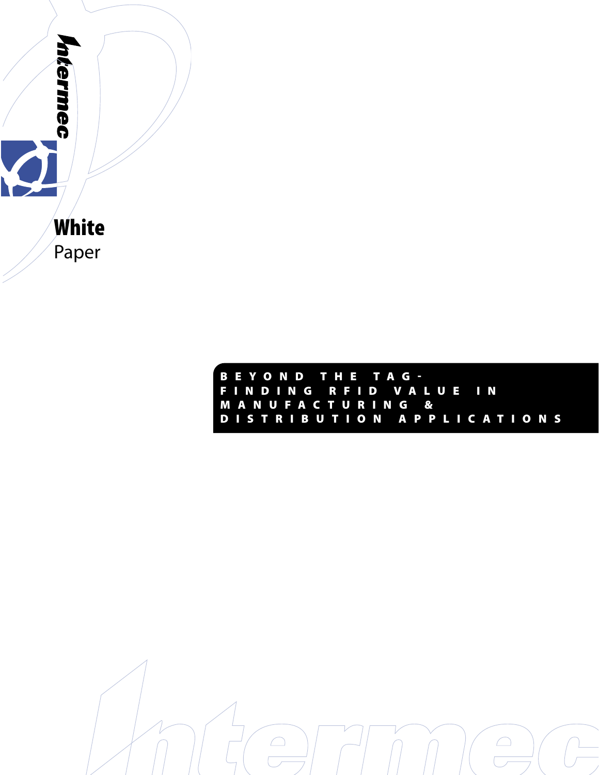

B E Y O N D T H E T A G - F I N D I N G R F I D V A L U E I N M A N U F A C T U R I N G & D I S T R I B U T I O N A P P L I C A T I O N S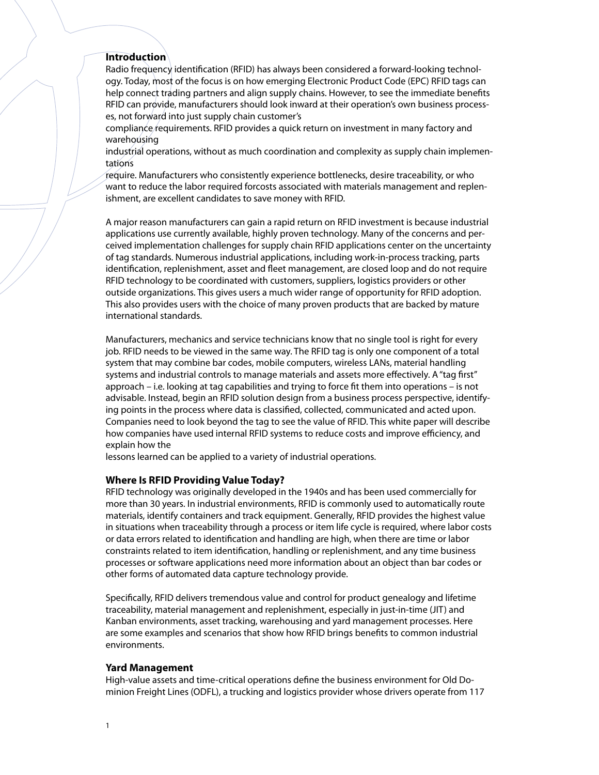# **Introduction**

Radio frequency identification (RFID) has always been considered a forward-looking technology. Today, most of the focus is on how emerging Electronic Product Code (EPC) RFID tags can help connect trading partners and align supply chains. However, to see the immediate benefits RFID can provide, manufacturers should look inward at their operation's own business processes, not forward into just supply chain customer's

compliance requirements. RFID provides a quick return on investment in many factory and warehousing

industrial operations, without as much coordination and complexity as supply chain implementations

require. Manufacturers who consistently experience bottlenecks, desire traceability, or who want to reduce the labor required forcosts associated with materials management and replenishment, are excellent candidates to save money with RFID.

A major reason manufacturers can gain a rapid return on RFID investment is because industrial applications use currently available, highly proven technology. Many of the concerns and perceived implementation challenges for supply chain RFID applications center on the uncertainty of tag standards. Numerous industrial applications, including work-in-process tracking, parts identification, replenishment, asset and fleet management, are closed loop and do not require RFID technology to be coordinated with customers, suppliers, logistics providers or other outside organizations. This gives users a much wider range of opportunity for RFID adoption. This also provides users with the choice of many proven products that are backed by mature international standards.

Manufacturers, mechanics and service technicians know that no single tool is right for every job. RFID needs to be viewed in the same way. The RFID tag is only one component of a total system that may combine bar codes, mobile computers, wireless LANs, material handling systems and industrial controls to manage materials and assets more effectively. A "tag first" approach – i.e. looking at tag capabilities and trying to force fit them into operations – is not advisable. Instead, begin an RFID solution design from a business process perspective, identifying points in the process where data is classified, collected, communicated and acted upon. Companies need to look beyond the tag to see the value of RFID. This white paper will describe how companies have used internal RFID systems to reduce costs and improve efficiency, and explain how the

lessons learned can be applied to a variety of industrial operations.

## **Where Is RFID Providing Value Today?**

RFID technology was originally developed in the 1940s and has been used commercially for more than 30 years. In industrial environments, RFID is commonly used to automatically route materials, identify containers and track equipment. Generally, RFID provides the highest value in situations when traceability through a process or item life cycle is required, where labor costs or data errors related to identification and handling are high, when there are time or labor constraints related to item identification, handling or replenishment, and any time business processes or software applications need more information about an object than bar codes or other forms of automated data capture technology provide.

Specifically, RFID delivers tremendous value and control for product genealogy and lifetime traceability, material management and replenishment, especially in just-in-time (JIT) and Kanban environments, asset tracking, warehousing and yard management processes. Here are some examples and scenarios that show how RFID brings benefits to common industrial environments.

## **Yard Management**

High-value assets and time-critical operations define the business environment for Old Dominion Freight Lines (ODFL), a trucking and logistics provider whose drivers operate from 117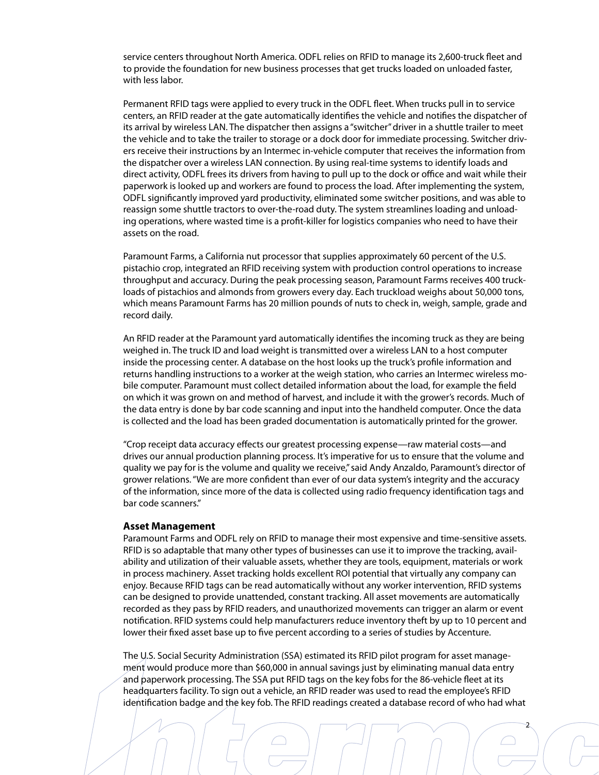service centers throughout North America. ODFL relies on RFID to manage its 2,600-truck fleet and to provide the foundation for new business processes that get trucks loaded on unloaded faster, with less labor.

Permanent RFID tags were applied to every truck in the ODFL fleet. When trucks pull in to service centers, an RFID reader at the gate automatically identifies the vehicle and notifies the dispatcher of its arrival by wireless LAN. The dispatcher then assigns a "switcher" driver in a shuttle trailer to meet the vehicle and to take the trailer to storage or a dock door for immediate processing. Switcher drivers receive their instructions by an Intermec in-vehicle computer that receives the information from the dispatcher over a wireless LAN connection. By using real-time systems to identify loads and direct activity, ODFL frees its drivers from having to pull up to the dock or office and wait while their paperwork is looked up and workers are found to process the load. After implementing the system, ODFL significantly improved yard productivity, eliminated some switcher positions, and was able to reassign some shuttle tractors to over-the-road duty. The system streamlines loading and unloading operations, where wasted time is a profit-killer for logistics companies who need to have their assets on the road.

Paramount Farms, a California nut processor that supplies approximately 60 percent of the U.S. pistachio crop, integrated an RFID receiving system with production control operations to increase throughput and accuracy. During the peak processing season, Paramount Farms receives 400 truckloads of pistachios and almonds from growers every day. Each truckload weighs about 50,000 tons, which means Paramount Farms has 20 million pounds of nuts to check in, weigh, sample, grade and record daily.

An RFID reader at the Paramount yard automatically identifies the incoming truck as they are being weighed in. The truck ID and load weight is transmitted over a wireless LAN to a host computer inside the processing center. A database on the host looks up the truck's profile information and returns handling instructions to a worker at the weigh station, who carries an Intermec wireless mobile computer. Paramount must collect detailed information about the load, for example the field on which it was grown on and method of harvest, and include it with the grower's records. Much of the data entry is done by bar code scanning and input into the handheld computer. Once the data is collected and the load has been graded documentation is automatically printed for the grower.

"Crop receipt data accuracy effects our greatest processing expense—raw material costs—and drives our annual production planning process. It's imperative for us to ensure that the volume and quality we pay for is the volume and quality we receive," said Andy Anzaldo, Paramount's director of grower relations. "We are more confident than ever of our data system's integrity and the accuracy of the information, since more of the data is collected using radio frequency identification tags and bar code scanners."

#### **Asset Management**

Paramount Farms and ODFL rely on RFID to manage their most expensive and time-sensitive assets. RFID is so adaptable that many other types of businesses can use it to improve the tracking, availability and utilization of their valuable assets, whether they are tools, equipment, materials or work in process machinery. Asset tracking holds excellent ROI potential that virtually any company can enjoy. Because RFID tags can be read automatically without any worker intervention, RFID systems can be designed to provide unattended, constant tracking. All asset movements are automatically recorded as they pass by RFID readers, and unauthorized movements can trigger an alarm or event notification. RFID systems could help manufacturers reduce inventory theft by up to 10 percent and lower their fixed asset base up to five percent according to a series of studies by Accenture.

The U.S. Social Security Administration (SSA) estimated its RFID pilot program for asset management would produce more than \$60,000 in annual savings just by eliminating manual data entry and paperwork processing. The SSA put RFID tags on the key fobs for the 86-vehicle fleet at its headquarters facility. To sign out a vehicle, an RFID reader was used to read the employee's RFID identification badge and the key fob. The RFID readings created a database record of who had what

2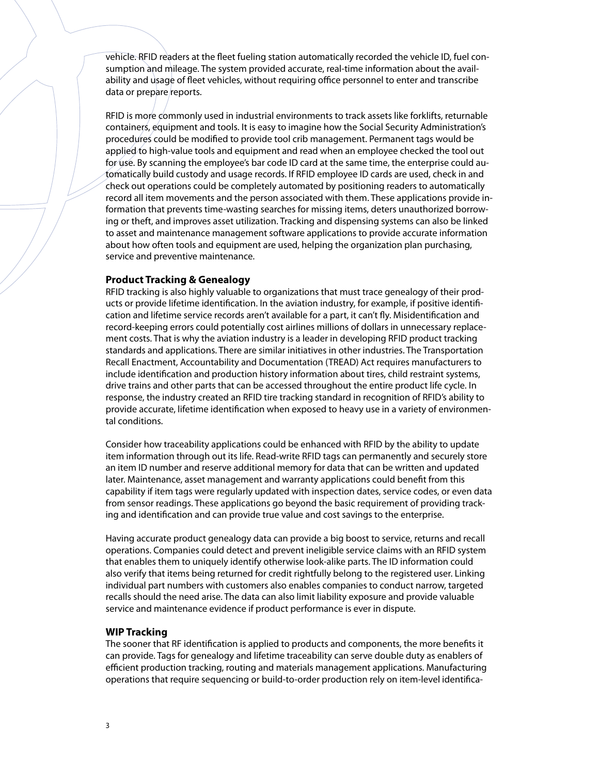vehicle. RFID readers at the fleet fueling station automatically recorded the vehicle ID, fuel consumption and mileage. The system provided accurate, real-time information about the availability and usage of fleet vehicles, without requiring office personnel to enter and transcribe data or prepare reports.

RFID is more commonly used in industrial environments to track assets like forklifts, returnable containers, equipment and tools. It is easy to imagine how the Social Security Administration's procedures could be modified to provide tool crib management. Permanent tags would be applied to high-value tools and equipment and read when an employee checked the tool out for use. By scanning the employee's bar code ID card at the same time, the enterprise could automatically build custody and usage records. If RFID employee ID cards are used, check in and check out operations could be completely automated by positioning readers to automatically record all item movements and the person associated with them. These applications provide information that prevents time-wasting searches for missing items, deters unauthorized borrowing or theft, and improves asset utilization. Tracking and dispensing systems can also be linked to asset and maintenance management software applications to provide accurate information about how often tools and equipment are used, helping the organization plan purchasing, service and preventive maintenance.

# **Product Tracking & Genealogy**

RFID tracking is also highly valuable to organizations that must trace genealogy of their products or provide lifetime identification. In the aviation industry, for example, if positive identification and lifetime service records aren't available for a part, it can't fly. Misidentification and record-keeping errors could potentially cost airlines millions of dollars in unnecessary replacement costs. That is why the aviation industry is a leader in developing RFID product tracking standards and applications. There are similar initiatives in other industries. The Transportation Recall Enactment, Accountability and Documentation (TREAD) Act requires manufacturers to include identification and production history information about tires, child restraint systems, drive trains and other parts that can be accessed throughout the entire product life cycle. In response, the industry created an RFID tire tracking standard in recognition of RFID's ability to provide accurate, lifetime identification when exposed to heavy use in a variety of environmental conditions.

Consider how traceability applications could be enhanced with RFID by the ability to update item information through out its life. Read-write RFID tags can permanently and securely store an item ID number and reserve additional memory for data that can be written and updated later. Maintenance, asset management and warranty applications could benefit from this capability if item tags were regularly updated with inspection dates, service codes, or even data from sensor readings. These applications go beyond the basic requirement of providing tracking and identification and can provide true value and cost savings to the enterprise.

Having accurate product genealogy data can provide a big boost to service, returns and recall operations. Companies could detect and prevent ineligible service claims with an RFID system that enables them to uniquely identify otherwise look-alike parts. The ID information could also verify that items being returned for credit rightfully belong to the registered user. Linking individual part numbers with customers also enables companies to conduct narrow, targeted recalls should the need arise. The data can also limit liability exposure and provide valuable service and maintenance evidence if product performance is ever in dispute.

## **WIP Tracking**

The sooner that RF identification is applied to products and components, the more benefits it can provide. Tags for genealogy and lifetime traceability can serve double duty as enablers of efficient production tracking, routing and materials management applications. Manufacturing operations that require sequencing or build-to-order production rely on item-level identifica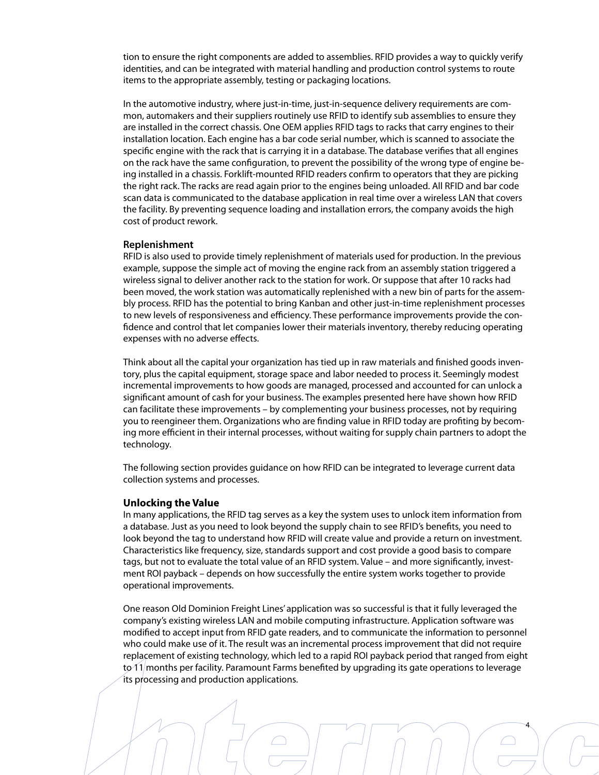tion to ensure the right components are added to assemblies. RFID provides a way to quickly verify identities, and can be integrated with material handling and production control systems to route items to the appropriate assembly, testing or packaging locations.

In the automotive industry, where just-in-time, just-in-sequence delivery requirements are common, automakers and their suppliers routinely use RFID to identify sub assemblies to ensure they are installed in the correct chassis. One OEM applies RFID tags to racks that carry engines to their installation location. Each engine has a bar code serial number, which is scanned to associate the specific engine with the rack that is carrying it in a database. The database verifies that all engines on the rack have the same configuration, to prevent the possibility of the wrong type of engine being installed in a chassis. Forklift-mounted RFID readers confirm to operators that they are picking the right rack. The racks are read again prior to the engines being unloaded. All RFID and bar code scan data is communicated to the database application in real time over a wireless LAN that covers the facility. By preventing sequence loading and installation errors, the company avoids the high cost of product rework.

## **Replenishment**

RFID is also used to provide timely replenishment of materials used for production. In the previous example, suppose the simple act of moving the engine rack from an assembly station triggered a wireless signal to deliver another rack to the station for work. Or suppose that after 10 racks had been moved, the work station was automatically replenished with a new bin of parts for the assembly process. RFID has the potential to bring Kanban and other just-in-time replenishment processes to new levels of responsiveness and efficiency. These performance improvements provide the confidence and control that let companies lower their materials inventory, thereby reducing operating expenses with no adverse effects.

Think about all the capital your organization has tied up in raw materials and finished goods inventory, plus the capital equipment, storage space and labor needed to process it. Seemingly modest incremental improvements to how goods are managed, processed and accounted for can unlock a significant amount of cash for your business. The examples presented here have shown how RFID can facilitate these improvements – by complementing your business processes, not by requiring you to reengineer them. Organizations who are finding value in RFID today are profiting by becoming more efficient in their internal processes, without waiting for supply chain partners to adopt the technology.

The following section provides guidance on how RFID can be integrated to leverage current data collection systems and processes.

#### **Unlocking the Value**

In many applications, the RFID tag serves as a key the system uses to unlock item information from a database. Just as you need to look beyond the supply chain to see RFID's benefits, you need to look beyond the tag to understand how RFID will create value and provide a return on investment. Characteristics like frequency, size, standards support and cost provide a good basis to compare tags, but not to evaluate the total value of an RFID system. Value – and more significantly, investment ROI payback – depends on how successfully the entire system works together to provide operational improvements.

One reason Old Dominion Freight Lines' application was so successful is that it fully leveraged the company's existing wireless LAN and mobile computing infrastructure. Application software was modified to accept input from RFID gate readers, and to communicate the information to personnel who could make use of it. The result was an incremental process improvement that did not require replacement of existing technology, which led to a rapid ROI payback period that ranged from eight to 11/months per facility. Paramount Farms benefited by upgrading its gate operations to leverage its processing and production applications.

4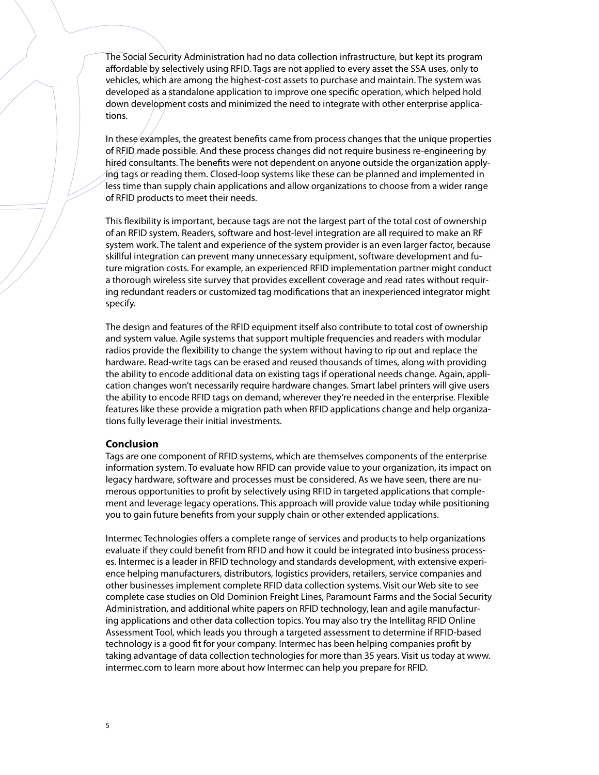The Social Security Administration had no data collection infrastructure, but kept its program affordable by selectively using RFID. Tags are not applied to every asset the SSA uses, only to vehicles, which are among the highest-cost assets to purchase and maintain. The system was developed as a standalone application to improve one specific operation, which helped hold down development costs and minimized the need to integrate with other enterprise applications.

In these examples, the greatest benefits came from process changes that the unique properties of RFID made possible. And these process changes did not require business re-engineering by hired consultants. The benefits were not dependent on anyone outside the organization applying tags or reading them. Closed-loop systems like these can be planned and implemented in less time than supply chain applications and allow organizations to choose from a wider range of RFID products to meet their needs.

This flexibility is important, because tags are not the largest part of the total cost of ownership of an RFID system. Readers, software and host-level integration are all required to make an RF system work. The talent and experience of the system provider is an even larger factor, because skillful integration can prevent many unnecessary equipment, software development and future migration costs. For example, an experienced RFID implementation partner might conduct a thorough wireless site survey that provides excellent coverage and read rates without requiring redundant readers or customized tag modifications that an inexperienced integrator might specify.

The design and features of the RFID equipment itself also contribute to total cost of ownership and system value. Agile systems that support multiple frequencies and readers with modular radios provide the flexibility to change the system without having to rip out and replace the hardware. Read-write tags can be erased and reused thousands of times, along with providing the ability to encode additional data on existing tags if operational needs change. Again, application changes won't necessarily require hardware changes. Smart label printers will give users the ability to encode RFID tags on demand, wherever they're needed in the enterprise. Flexible features like these provide a migration path when RFID applications change and help organizations fully leverage their initial investments.

#### **Conclusion**

Tags are one component of RFID systems, which are themselves components of the enterprise information system. To evaluate how RFID can provide value to your organization, its impact on legacy hardware, software and processes must be considered. As we have seen, there are numerous opportunities to profit by selectively using RFID in targeted applications that complement and leverage legacy operations. This approach will provide value today while positioning you to gain future benefits from your supply chain or other extended applications.

Intermec Technologies offers a complete range of services and products to help organizations evaluate if they could benefit from RFID and how it could be integrated into business processes. Intermec is a leader in RFID technology and standards development, with extensive experience helping manufacturers, distributors, logistics providers, retailers, service companies and other businesses implement complete RFID data collection systems. Visit our Web site to see complete case studies on Old Dominion Freight Lines, Paramount Farms and the Social Security Administration, and additional white papers on RFID technology, lean and agile manufacturing applications and other data collection topics. You may also try the Intellitag RFID Online Assessment Tool, which leads you through a targeted assessment to determine if RFID-based technology is a good fit for your company. Intermec has been helping companies profit by taking advantage of data collection technologies for more than 35 years. Visit us today at www. intermec.com to learn more about how Intermec can help you prepare for RFID.